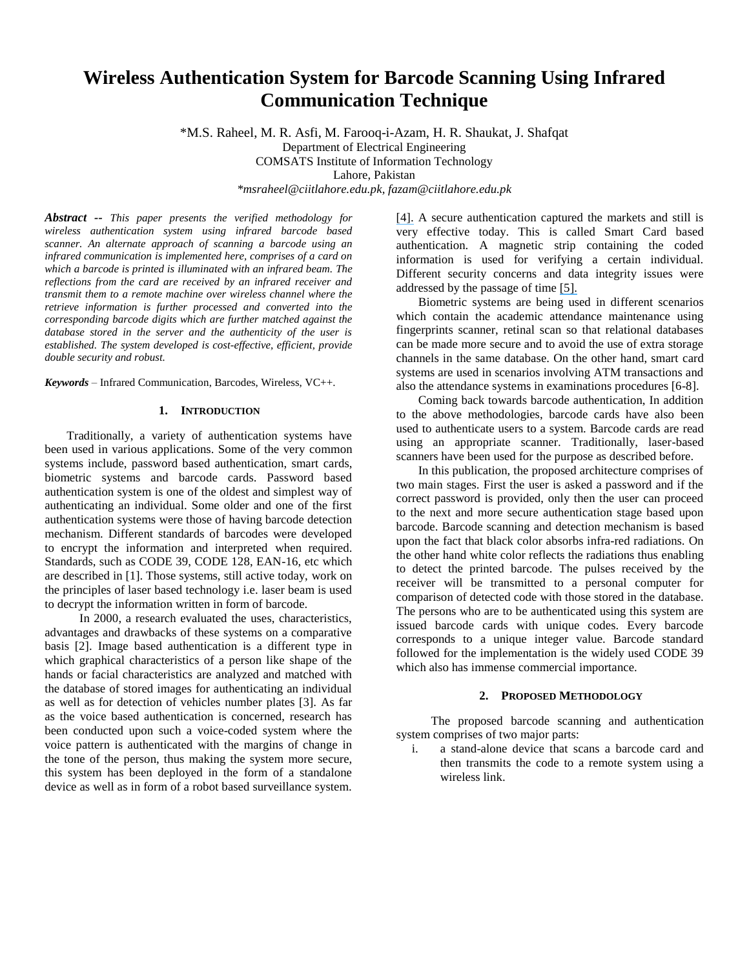# **Wireless Authentication System for Barcode Scanning Using Infrared Communication Technique**

\*M.S. Raheel, M. R. Asfi, M. Farooq-i-Azam, H. R. Shaukat, J. Shafqat Department of Electrical Engineering COMSATS Institute of Information Technology Lahore, Pakistan

*\*msraheel@ciitlahore.edu.pk, fazam@ciitlahore.edu.pk* 

*Abstract -- This paper presents the verified methodology for wireless authentication system using infrared barcode based scanner. An alternate approach of scanning a barcode using an infrared communication is implemented here, comprises of a card on which a barcode is printed is illuminated with an infrared beam. The reflections from the card are received by an infrared receiver and transmit them to a remote machine over wireless channel where the retrieve information is further processed and converted into the corresponding barcode digits which are further matched against the database stored in the server and the authenticity of the user is established. The system developed is cost-effective, efficient, provide double security and robust.* 

*Keywords* – Infrared Communication, Barcodes, Wireless, VC++.

# **1. INTRODUCTION**

Traditionally, a variety of authentication systems have been used in various applications. Some of the very common systems include, password based authentication, smart cards, biometric systems and barcode cards. Password based authentication system is one of the oldest and simplest way of authenticating an individual. Some older and one of the first authentication systems were those of having barcode detection mechanism. Different standards of barcodes were developed to encrypt the information and interpreted when required. Standards, such as CODE 39, CODE 128, EAN-16, etc which are described in [1]. Those systems, still active today, work on the principles of laser based technology i.e. laser beam is used to decrypt the information written in form of barcode.

In 2000, a research evaluated the uses, characteristics, advantages and drawbacks of these systems on a comparative basis [2]. Image based authentication is a different type in which graphical characteristics of a person like shape of the hands or facial characteristics are analyzed and matched with the database of stored images for authenticating an individual as well as for detection of vehicles number plates [3]. As far as the voice based authentication is concerned, research has been conducted upon such a voice-coded system where the voice pattern is authenticated with the margins of change in the tone of the person, thus making the system more secure, this system has been deployed in the form of a standalone device as well as in form of a robot based surveillance system. [\[4\].](https://www.researchgate.net/publication/4143397_Voice_code_verification_system_using_competing_models_for_user_entrance_authentication?el=1_x_8&enrichId=rgreq-596f5b28-ec62-4453-8875-06023300f8b3&enrichSource=Y292ZXJQYWdlOzI2NDAzNzQwMDtBUzoxMjAyNzUzMzMwMjk4ODlAMTQwNTY4NzI4MjMxNA==) A secure authentication captured the markets and still is very effective today. This is called Smart Card based authentication. A magnetic strip containing the coded information is used for verifying a certain individual. Different security concerns and data integrity issues were addressed by the passage of time [\[5\].](https://www.researchgate.net/publication/220984689_Security_Design_for_Multi-service_Smart_Card_Systems?el=1_x_8&enrichId=rgreq-596f5b28-ec62-4453-8875-06023300f8b3&enrichSource=Y292ZXJQYWdlOzI2NDAzNzQwMDtBUzoxMjAyNzUzMzMwMjk4ODlAMTQwNTY4NzI4MjMxNA==)

Biometric systems are being used in different scenarios which contain the academic attendance maintenance using fingerprints scanner, retinal scan so that relational databases can be made more secure and to avoid the use of extra storage channels in the same database. On the other hand, smart card systems are used in scenarios involving ATM transactions and also the attendance systems in examinations procedures [6-8].

Coming back towards barcode authentication, In addition to the above methodologies, barcode cards have also been used to authenticate users to a system. Barcode cards are read using an appropriate scanner. Traditionally, laser-based scanners have been used for the purpose as described before.

In this publication, the proposed architecture comprises of two main stages. First the user is asked a password and if the correct password is provided, only then the user can proceed to the next and more secure authentication stage based upon barcode. Barcode scanning and detection mechanism is based upon the fact that black color absorbs infra-red radiations. On the other hand white color reflects the radiations thus enabling to detect the printed barcode. The pulses received by the receiver will be transmitted to a personal computer for comparison of detected code with those stored in the database. The persons who are to be authenticated using this system are issued barcode cards with unique codes. Every barcode corresponds to a unique integer value. Barcode standard followed for the implementation is the widely used CODE 39 which also has immense commercial importance.

## **2. PROPOSED METHODOLOGY**

The proposed barcode scanning and authentication system comprises of two major parts:

i. a stand-alone device that scans a barcode card and then transmits the code to a remote system using a wireless link.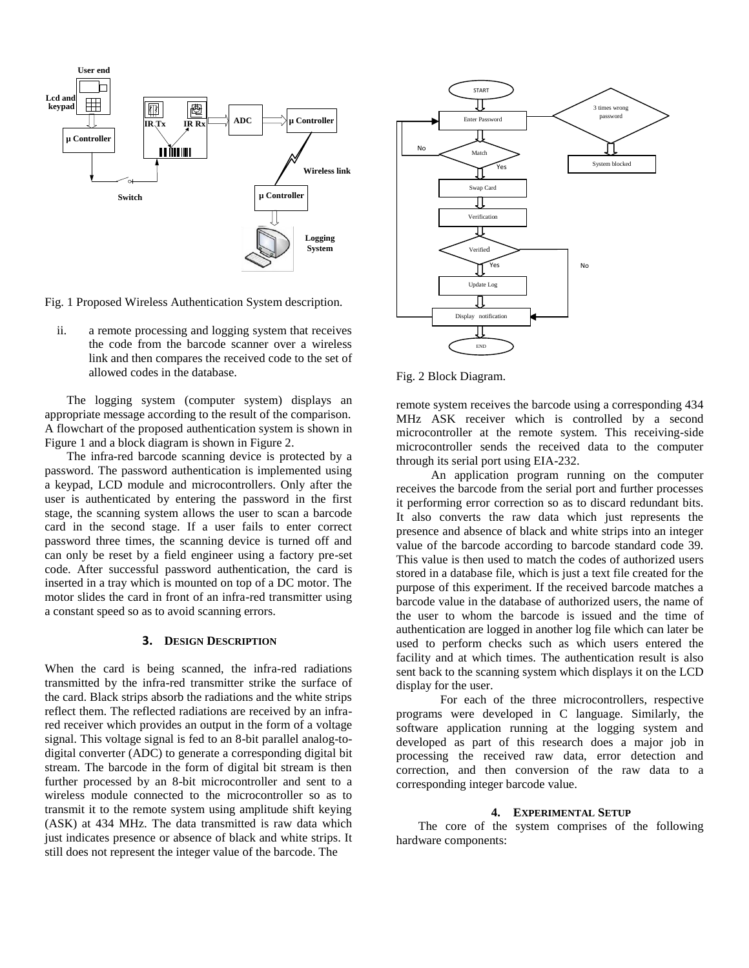

Fig. 1 Proposed Wireless Authentication System description.

ii. a remote processing and logging system that receives the code from the barcode scanner over a wireless link and then compares the received code to the set of allowed codes in the database.

The logging system (computer system) displays an appropriate message according to the result of the comparison. A flowchart of the proposed authentication system is shown in Figure 1 and a block diagram is shown in Figure 2.

The infra-red barcode scanning device is protected by a password. The password authentication is implemented using a keypad, LCD module and microcontrollers. Only after the user is authenticated by entering the password in the first stage, the scanning system allows the user to scan a barcode card in the second stage. If a user fails to enter correct password three times, the scanning device is turned off and can only be reset by a field engineer using a factory pre-set code. After successful password authentication, the card is inserted in a tray which is mounted on top of a DC motor. The motor slides the card in front of an infra-red transmitter using a constant speed so as to avoid scanning errors.

## **3. DESIGN DESCRIPTION**

When the card is being scanned, the infra-red radiations transmitted by the infra-red transmitter strike the surface of the card. Black strips absorb the radiations and the white strips reflect them. The reflected radiations are received by an infrared receiver which provides an output in the form of a voltage signal. This voltage signal is fed to an 8-bit parallel analog-todigital converter (ADC) to generate a corresponding digital bit stream. The barcode in the form of digital bit stream is then further processed by an 8-bit microcontroller and sent to a wireless module connected to the microcontroller so as to transmit it to the remote system using amplitude shift keying (ASK) at 434 MHz. The data transmitted is raw data which just indicates presence or absence of black and white strips. It still does not represent the integer value of the barcode. The



Fig. 2 Block Diagram.

remote system receives the barcode using a corresponding 434 MHz ASK receiver which is controlled by a second microcontroller at the remote system. This receiving-side microcontroller sends the received data to the computer through its serial port using EIA-232.

An application program running on the computer receives the barcode from the serial port and further processes it performing error correction so as to discard redundant bits. It also converts the raw data which just represents the presence and absence of black and white strips into an integer value of the barcode according to barcode standard code 39. This value is then used to match the codes of authorized users stored in a database file, which is just a text file created for the purpose of this experiment. If the received barcode matches a barcode value in the database of authorized users, the name of the user to whom the barcode is issued and the time of authentication are logged in another log file which can later be used to perform checks such as which users entered the facility and at which times. The authentication result is also sent back to the scanning system which displays it on the LCD display for the user.

For each of the three microcontrollers, respective programs were developed in C language. Similarly, the software application running at the logging system and developed as part of this research does a major job in processing the received raw data, error detection and correction, and then conversion of the raw data to a corresponding integer barcode value.

#### **4. EXPERIMENTAL SETUP**

The core of the system comprises of the following hardware components: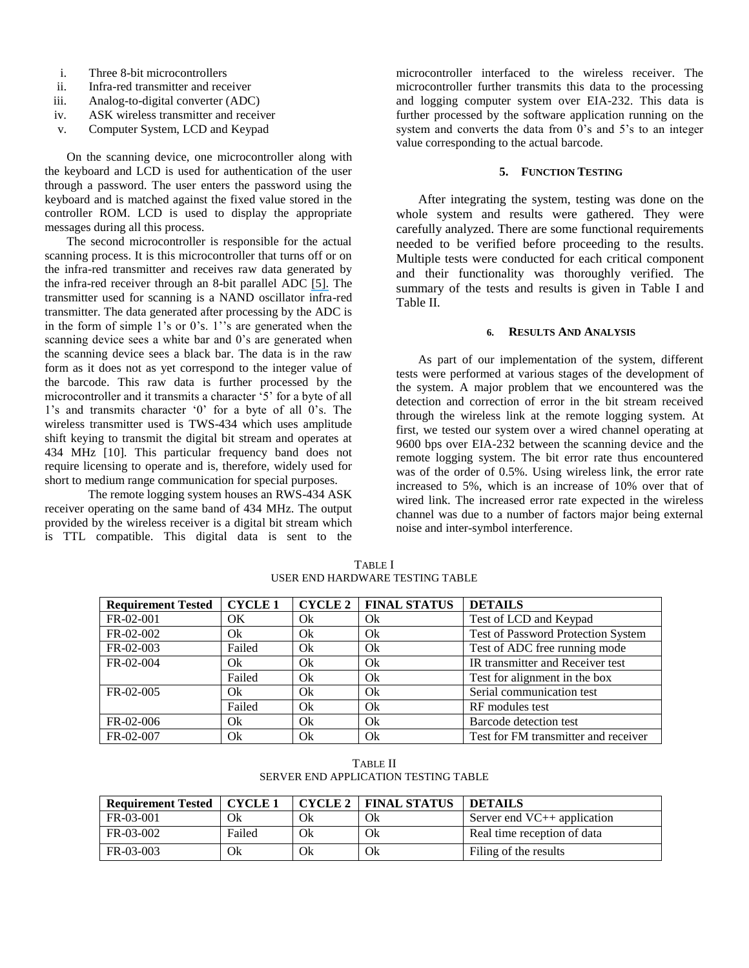- i. Three 8-bit microcontrollers
- ii. Infra-red transmitter and receiver
- iii. Analog-to-digital converter (ADC)
- iv. ASK wireless transmitter and receiver
- v. Computer System, LCD and Keypad

On the scanning device, one microcontroller along with the keyboard and LCD is used for authentication of the user through a password. The user enters the password using the keyboard and is matched against the fixed value stored in the controller ROM. LCD is used to display the appropriate messages during all this process.

The second microcontroller is responsible for the actual scanning process. It is this microcontroller that turns off or on the infra-red transmitter and receives raw data generated by the infra-red receiver through an 8-bit parallel ADC [\[5\].](https://www.researchgate.net/publication/220984689_Security_Design_for_Multi-service_Smart_Card_Systems?el=1_x_8&enrichId=rgreq-596f5b28-ec62-4453-8875-06023300f8b3&enrichSource=Y292ZXJQYWdlOzI2NDAzNzQwMDtBUzoxMjAyNzUzMzMwMjk4ODlAMTQwNTY4NzI4MjMxNA==) The transmitter used for scanning is a NAND oscillator infra-red transmitter. The data generated after processing by the ADC is in the form of simple  $1$ 's or  $0$ 's.  $1$ ''s are generated when the scanning device sees a white bar and 0's are generated when the scanning device sees a black bar. The data is in the raw form as it does not as yet correspond to the integer value of the barcode. This raw data is further processed by the microcontroller and it transmits a character "5" for a byte of all 1"s and transmits character "0" for a byte of all 0"s. The wireless transmitter used is TWS-434 which uses amplitude shift keying to transmit the digital bit stream and operates at 434 MHz [10]. This particular frequency band does not require licensing to operate and is, therefore, widely used for short to medium range communication for special purposes.

The remote logging system houses an RWS-434 ASK receiver operating on the same band of 434 MHz. The output provided by the wireless receiver is a digital bit stream which is TTL compatible. This digital data is sent to the

microcontroller interfaced to the wireless receiver. The microcontroller further transmits this data to the processing and logging computer system over EIA-232. This data is further processed by the software application running on the system and converts the data from 0's and 5's to an integer value corresponding to the actual barcode.

# **5. FUNCTION TESTING**

After integrating the system, testing was done on the whole system and results were gathered. They were carefully analyzed. There are some functional requirements needed to be verified before proceeding to the results. Multiple tests were conducted for each critical component and their functionality was thoroughly verified. The summary of the tests and results is given in Table I and Table II.

#### **6. RESULTS AND ANALYSIS**

As part of our implementation of the system, different tests were performed at various stages of the development of the system. A major problem that we encountered was the detection and correction of error in the bit stream received through the wireless link at the remote logging system. At first, we tested our system over a wired channel operating at 9600 bps over EIA-232 between the scanning device and the remote logging system. The bit error rate thus encountered was of the order of 0.5%. Using wireless link, the error rate increased to 5%, which is an increase of 10% over that of wired link. The increased error rate expected in the wireless channel was due to a number of factors major being external noise and inter-symbol interference.

| <b>Requirement Tested</b> | <b>CYCLE1</b> | <b>CYCLE 2</b> | <b>FINAL STATUS</b> | <b>DETAILS</b>                       |
|---------------------------|---------------|----------------|---------------------|--------------------------------------|
| FR-02-001                 | OK            | Ok             | Ok                  | Test of LCD and Keypad               |
| FR-02-002                 | Ok            | Qk             | Ok                  | Test of Password Protection System   |
| FR-02-003                 | Failed        | Ok             | Ok                  | Test of ADC free running mode        |
| FR-02-004                 | Ok            | Ok             | Ok                  | IR transmitter and Receiver test     |
|                           | Failed        | Ok             | Ok                  | Test for alignment in the box        |
| FR-02-005                 | Ok            | Ok             | Ok                  | Serial communication test            |
|                           | Failed        | Ok             | Qk                  | RF modules test                      |
| $FR-02-006$               | Ok            | Ok             | Qk                  | Barcode detection test               |
| FR-02-007                 | Ok            | Ok             | Ok                  | Test for FM transmitter and receiver |

TABLE I USER END HARDWARE TESTING TABLE

TABLE II SERVER END APPLICATION TESTING TABLE

| <b>Requirement Tested</b> | <b>CYCLE 1</b> |    | <b>CYCLE 2   FINAL STATUS</b> | <b>DETAILS</b>                |
|---------------------------|----------------|----|-------------------------------|-------------------------------|
| FR-03-001                 | Ok             | Ok | Ok                            | Server end $VC++$ application |
| FR-03-002                 | Failed         | Ok | Ok                            | Real time reception of data   |
| $FR - 03 - 003$           | Оk             | Оk | Ok                            | Filing of the results         |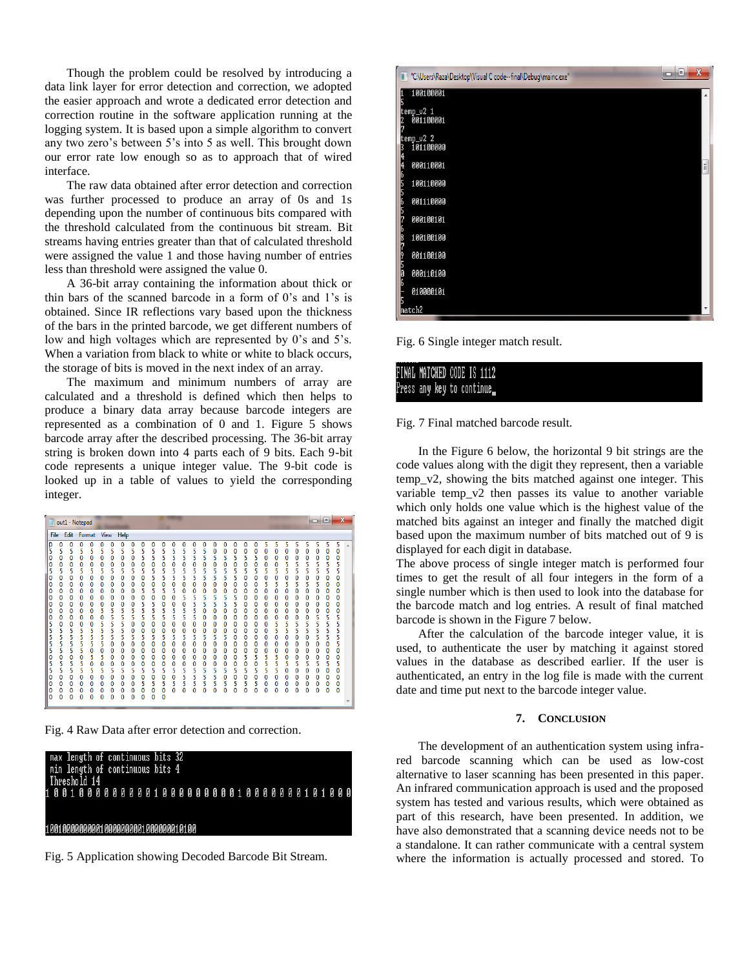Though the problem could be resolved by introducing a data link layer for error detection and correction, we adopted the easier approach and wrote a dedicated error detection and correction routine in the software application running at the logging system. It is based upon a simple algorithm to convert any two zero's between 5's into 5 as well. This brought down our error rate low enough so as to approach that of wired interface.

The raw data obtained after error detection and correction was further processed to produce an array of 0s and 1s depending upon the number of continuous bits compared with the threshold calculated from the continuous bit stream. Bit streams having entries greater than that of calculated threshold were assigned the value 1 and those having number of entries less than threshold were assigned the value 0.

A 36-bit array containing the information about thick or thin bars of the scanned barcode in a form of 0"s and 1"s is obtained. Since IR reflections vary based upon the thickness of the bars in the printed barcode, we get different numbers of low and high voltages which are represented by 0's and 5's. When a variation from black to white or white to black occurs, the storage of bits is moved in the next index of an array.

The maximum and minimum numbers of array are calculated and a threshold is defined which then helps to produce a binary data array because barcode integers are represented as a combination of 0 and 1. Figure 5 shows barcode array after the described processing. The 36-bit array string is broken down into 4 parts each of 9 bits. Each 9-bit code represents a unique integer value. The 9-bit code is looked up in a table of values to yield the corresponding integer.

| out1 - Notepad                                                                                                                                                                                                                                                                                                                                                                                                                                                                                                                                                                                                                                |                                                                                                                                                                                                                                                                                                                                                                                                                                                                                         |                                                                                                                                                                                                                                                                                                                                                                                                                                                                                                                                                                                                                                                                                                               |                                                                                                                                                                                                                                                                                                                                                                                                                                                                                                                                                                                                                                                                                                                                                                                                            |                                                                                                                                                                                                                                                                                                                                                                                                                                                                       | $= 0$<br>X                                                                                                                                                                                                                                                                                                                                                                                                                                                                                                           |
|-----------------------------------------------------------------------------------------------------------------------------------------------------------------------------------------------------------------------------------------------------------------------------------------------------------------------------------------------------------------------------------------------------------------------------------------------------------------------------------------------------------------------------------------------------------------------------------------------------------------------------------------------|-----------------------------------------------------------------------------------------------------------------------------------------------------------------------------------------------------------------------------------------------------------------------------------------------------------------------------------------------------------------------------------------------------------------------------------------------------------------------------------------|---------------------------------------------------------------------------------------------------------------------------------------------------------------------------------------------------------------------------------------------------------------------------------------------------------------------------------------------------------------------------------------------------------------------------------------------------------------------------------------------------------------------------------------------------------------------------------------------------------------------------------------------------------------------------------------------------------------|------------------------------------------------------------------------------------------------------------------------------------------------------------------------------------------------------------------------------------------------------------------------------------------------------------------------------------------------------------------------------------------------------------------------------------------------------------------------------------------------------------------------------------------------------------------------------------------------------------------------------------------------------------------------------------------------------------------------------------------------------------------------------------------------------------|-----------------------------------------------------------------------------------------------------------------------------------------------------------------------------------------------------------------------------------------------------------------------------------------------------------------------------------------------------------------------------------------------------------------------------------------------------------------------|----------------------------------------------------------------------------------------------------------------------------------------------------------------------------------------------------------------------------------------------------------------------------------------------------------------------------------------------------------------------------------------------------------------------------------------------------------------------------------------------------------------------|
| Edit<br>File                                                                                                                                                                                                                                                                                                                                                                                                                                                                                                                                                                                                                                  | Format View<br>Help                                                                                                                                                                                                                                                                                                                                                                                                                                                                     |                                                                                                                                                                                                                                                                                                                                                                                                                                                                                                                                                                                                                                                                                                               |                                                                                                                                                                                                                                                                                                                                                                                                                                                                                                                                                                                                                                                                                                                                                                                                            |                                                                                                                                                                                                                                                                                                                                                                                                                                                                       |                                                                                                                                                                                                                                                                                                                                                                                                                                                                                                                      |
| р<br>0<br>0<br>0<br>5<br>5<br>5<br>5<br>5<br>0<br>0<br>0<br>0<br>0<br>0<br>0<br>0<br>0<br>0<br>5<br>5<br>5<br>5<br>5<br>$\mathbf 0$<br>0<br>0<br>0<br>0<br>٥<br>0<br>0<br>0<br>0<br>0<br>0<br>0<br>0<br>0<br>0<br>0<br>0<br>0<br>0<br>0<br>$\mathbf 0$<br>0<br>0<br>0<br>0<br>0<br>0<br>0<br>0<br>0<br>0<br>0<br>0<br>0<br>5<br>0<br>0<br>0<br>0<br>5<br>5<br>5<br>5<br>5<br>5<br>5<br>5<br>5<br>5<br>5<br>5<br>5<br>5<br>5<br>5<br>5<br>5<br>5<br>0<br>5<br>0<br>0<br>0<br>0<br>5<br>5<br>5<br>5<br>0<br>5<br>5<br>5<br>5<br>5<br>0<br>٥<br>0<br>0<br>0<br>0<br>0<br>0<br>0<br>0<br>0<br>0<br>0<br>0<br>0<br>$\mathbf 0$<br>Ω<br>n<br>n<br>0 | 0<br>0<br>0<br>5<br>5<br>5<br>5<br>0<br>0<br>0<br>0<br>0<br>0<br>0<br>0<br>5<br>5<br>5<br>5<br>0<br>0<br>0<br>0<br>0<br>0<br>0<br>0<br>0<br>0<br>0<br>0<br>0<br>0<br>0<br>0<br>0<br>0<br>0<br>0<br>5<br>5<br>5<br>5<br>5<br>5<br>5<br>0<br>5<br>5<br>5<br>0<br>5<br>5<br>5<br>0<br>5<br>5<br>5<br>5<br>5<br>0<br>0<br>0<br>0<br>0<br>0<br>0<br>5<br>0<br>0<br>0<br>0<br>0<br>0<br>0<br>5<br>5<br>5<br>5<br>0<br>0<br>0<br>0<br>0<br>0<br>0<br>0<br>0<br>0<br>0<br>0<br>n<br>O<br>٥<br>o | 0<br>0<br>0<br>Ω<br>5<br>5<br>5<br>5<br>5<br>5<br>5<br>5<br>5<br>5<br>0<br>0<br>0<br>0<br>0<br>0<br>5<br>5<br>5<br>5<br>5<br>0<br>5<br>5<br>5<br>5<br>٥<br>0<br>0<br>0<br>0<br>0<br>5<br>5<br>5<br>5<br>$\bf{0}$<br>0<br>5<br>0<br>0<br>$\mathbf 0$<br>0<br>5<br>5<br>0<br>$\mathbf 0$<br>$\mathbf 0$<br>5<br>5<br>5<br>5<br>5<br>5<br>5<br>5<br>5<br>$\mathbf 0$<br>0<br>0<br>0<br>0<br>0<br>0<br>0<br>0<br>0<br>0<br>5<br>5<br>5<br>5<br>5<br>0<br>0<br>0<br>0<br>0<br>0<br>0<br>0<br>0<br>$\bf{0}$<br>0<br>0<br>0<br>0<br>0<br>0<br>0<br>0<br>0<br>0<br>0<br>0<br>0<br>0<br>5<br>5<br>5<br>5<br>5<br>5<br>0<br>0<br>$\mathbf 0$<br>0<br>5<br>5<br>5<br>5<br>5<br>٥<br>0<br>0<br>0<br>0<br>0<br>O<br>O<br>0 | 0<br>0<br>0<br>0<br>0<br>0<br>5<br>5<br>0<br>0<br>0<br>0<br>0<br>5<br>5<br>5<br>5<br>5<br>5<br>5<br>0<br>0<br>0<br>0<br>0<br>0<br>5<br>5<br>5<br>5<br>5<br>5<br>5<br>5<br>5<br>5<br>5<br>5<br>0<br>0<br>0<br>0<br>0<br>0<br>0<br>0<br>0<br>0<br>0<br>0<br>0<br>0<br>5<br>5<br>5<br>5<br>5<br>0<br>0<br>5<br>5<br>5<br>5<br>5<br>$\mathbf 0$<br>0<br>5<br>0<br>0<br>0<br>0<br>0<br>0<br>5<br>0<br>0<br>0<br>0<br>0<br>0<br>0<br>0<br>0<br>$\mathbf 0$<br>0<br>$\Omega$<br>0<br>0<br>0<br>0<br>0<br>0<br>0<br>5<br>5<br>5<br>5<br>0<br>0<br>0<br>0<br>0<br>0<br>0<br>0<br>0<br>0<br>0<br>0<br>0<br>0<br>0<br>5<br>5<br>0<br>0<br>0<br>0<br>0<br>0<br>0<br>0<br>0<br>0<br>5<br>5<br>5<br>5<br>5<br>5<br>5<br>5<br>5<br>5<br>0<br>0<br>0<br>0<br>5<br>5<br>5<br>5<br>5<br>5<br>5<br>٥<br>٥<br>0<br>٥<br>٥<br>Ω | 5<br>5<br>5<br>0<br>0<br>0<br>0<br>0<br>0<br>0<br>5<br>5<br>0<br>0<br>5<br>5<br>5<br>5<br>0<br>0<br>0<br>0<br>5<br>5<br>5<br>5<br>0<br>0<br>0<br>$\bf{0}$<br>0<br>0<br>0<br>0<br>0<br>0<br>0<br>0<br>0<br>0<br>0<br>0<br>0<br>0<br>0<br>0<br>5<br>5<br>5<br>0<br>5<br>5<br>5<br>0<br>0<br>0<br>0<br>0<br>0<br>0<br>0<br>0<br>0<br>0<br>0<br>0<br>5<br>5<br>0<br>0<br>5<br>5<br>5<br>5<br>5<br>5<br>0<br>0<br>0<br>0<br>٥<br>0<br>0<br>0<br>0<br>0<br>0<br>O<br>Ω<br>Λ | 5<br>5<br>5<br>5<br>0<br>0<br>0<br>0<br>0<br>$\bf{0}$<br>0<br>5<br>5<br>5<br>5<br>5<br>5<br>5<br>5<br>0<br>0<br>0<br>0<br>5<br>5<br>0<br>0<br>0<br>0<br>0<br>0<br>0<br>0<br>$\Omega$<br>$\Omega$<br>$\mathbf 0$<br>0<br>0<br>0<br>0<br>0<br>0<br>0<br>5<br>5<br>5<br>0<br>5<br>5<br>5<br>5<br>5<br>5<br>5<br>5<br>5<br>5<br>5<br>0<br>5<br>0<br>0<br>0<br>0<br>0<br>0<br>0<br>0<br>0<br>0<br>0<br>5<br>5<br>5<br>5<br>0<br>0<br>0<br>0<br>0<br>0<br>0<br>0<br>$\mathbf{0}$<br>0<br>0<br>0<br>$\Omega$<br>٥<br>٥<br>Ω |

Fig. 4 Raw Data after error detection and correction.

| max length of continuous bits 32<br>min length of continuous bits 4<br>Threshold 14 |  |  |  |  |  |  |  |  |  |  |  |  |  |  |  |  |  |  |
|-------------------------------------------------------------------------------------|--|--|--|--|--|--|--|--|--|--|--|--|--|--|--|--|--|--|
|                                                                                     |  |  |  |  |  |  |  |  |  |  |  |  |  |  |  |  |  |  |
| 100100000000010000000001000000010100                                                |  |  |  |  |  |  |  |  |  |  |  |  |  |  |  |  |  |  |

Fig. 5 Application showing Decoded Barcode Bit Stream.



Fig. 6 Single integer match result.

| ------------ |                            |  |  |  |
|--------------|----------------------------|--|--|--|
|              | FINAL MATCHED CODE IS 1112 |  |  |  |
|              |                            |  |  |  |
|              | Press any key to continue_ |  |  |  |
|              |                            |  |  |  |
|              |                            |  |  |  |

Fig. 7 Final matched barcode result.

In the Figure 6 below, the horizontal 9 bit strings are the code values along with the digit they represent, then a variable temp\_v2, showing the bits matched against one integer. This variable temp v2 then passes its value to another variable which only holds one value which is the highest value of the matched bits against an integer and finally the matched digit based upon the maximum number of bits matched out of 9 is displayed for each digit in database.

The above process of single integer match is performed four times to get the result of all four integers in the form of a single number which is then used to look into the database for the barcode match and log entries. A result of final matched barcode is shown in the Figure 7 below.

After the calculation of the barcode integer value, it is used, to authenticate the user by matching it against stored values in the database as described earlier. If the user is authenticated, an entry in the log file is made with the current date and time put next to the barcode integer value.

## **7. CONCLUSION**

The development of an authentication system using infrared barcode scanning which can be used as low-cost alternative to laser scanning has been presented in this paper. An infrared communication approach is used and the proposed system has tested and various results, which were obtained as part of this research, have been presented. In addition, we have also demonstrated that a scanning device needs not to be a standalone. It can rather communicate with a central system where the information is actually processed and stored. To